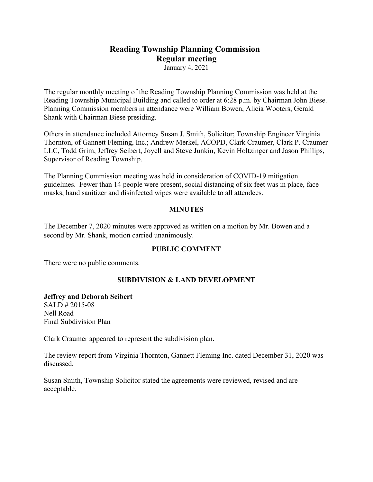# **Reading Township Planning Commission Regular meeting**

January 4, 2021

The regular monthly meeting of the Reading Township Planning Commission was held at the Reading Township Municipal Building and called to order at 6:28 p.m. by Chairman John Biese. Planning Commission members in attendance were William Bowen, Alicia Wooters, Gerald Shank with Chairman Biese presiding.

Others in attendance included Attorney Susan J. Smith, Solicitor; Township Engineer Virginia Thornton, of Gannett Fleming, Inc.; Andrew Merkel, ACOPD, Clark Craumer, Clark P. Craumer LLC, Todd Grim, Jeffrey Seibert, Joyell and Steve Junkin, Kevin Holtzinger and Jason Phillips, Supervisor of Reading Township.

The Planning Commission meeting was held in consideration of COVID-19 mitigation guidelines. Fewer than 14 people were present, social distancing of six feet was in place, face masks, hand sanitizer and disinfected wipes were available to all attendees.

### **MINUTES**

The December 7, 2020 minutes were approved as written on a motion by Mr. Bowen and a second by Mr. Shank, motion carried unanimously.

## **PUBLIC COMMENT**

There were no public comments.

## **SUBDIVISION & LAND DEVELOPMENT**

#### **Jeffrey and Deborah Seibert**

SALD # 2015-08 Nell Road Final Subdivision Plan

Clark Craumer appeared to represent the subdivision plan.

The review report from Virginia Thornton, Gannett Fleming Inc. dated December 31, 2020 was discussed.

Susan Smith, Township Solicitor stated the agreements were reviewed, revised and are acceptable.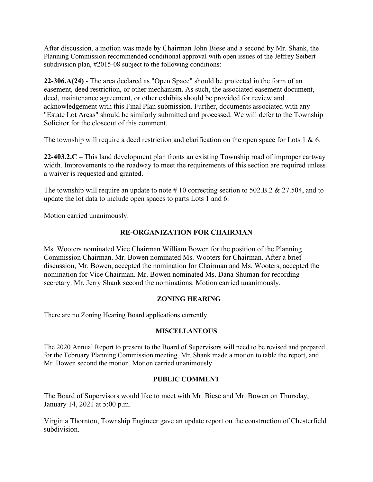After discussion, a motion was made by Chairman John Biese and a second by Mr. Shank, the Planning Commission recommended conditional approval with open issues of the Jeffrey Seibert subdivision plan, #2015-08 subject to the following conditions:

**22-306.A(24)** - The area declared as "Open Space" should be protected in the form of an easement, deed restriction, or other mechanism. As such, the associated easement document, deed, maintenance agreement, or other exhibits should be provided for review and acknowledgement with this Final Plan submission. Further, documents associated with any "Estate Lot Areas" should be similarly submitted and processed. We will defer to the Township Solicitor for the closeout of this comment.

The township will require a deed restriction and clarification on the open space for Lots 1 & 6.

**22-403.2.C –** This land development plan fronts an existing Township road of improper cartway width. Improvements to the roadway to meet the requirements of this section are required unless a waiver is requested and granted.

The township will require an update to note #10 correcting section to 502.B.2 & 27.504, and to update the lot data to include open spaces to parts Lots 1 and 6.

Motion carried unanimously.

## **RE-ORGANIZATION FOR CHAIRMAN**

Ms. Wooters nominated Vice Chairman William Bowen for the position of the Planning Commission Chairman. Mr. Bowen nominated Ms. Wooters for Chairman. After a brief discussion, Mr. Bowen, accepted the nomination for Chairman and Ms. Wooters, accepted the nomination for Vice Chairman. Mr. Bowen nominated Ms. Dana Shuman for recording secretary. Mr. Jerry Shank second the nominations. Motion carried unanimously.

## **ZONING HEARING**

There are no Zoning Hearing Board applications currently.

### **MISCELLANEOUS**

The 2020 Annual Report to present to the Board of Supervisors will need to be revised and prepared for the February Planning Commission meeting. Mr. Shank made a motion to table the report, and Mr. Bowen second the motion. Motion carried unanimously.

### **PUBLIC COMMENT**

The Board of Supervisors would like to meet with Mr. Biese and Mr. Bowen on Thursday, January 14, 2021 at 5:00 p.m.

Virginia Thornton, Township Engineer gave an update report on the construction of Chesterfield subdivision.